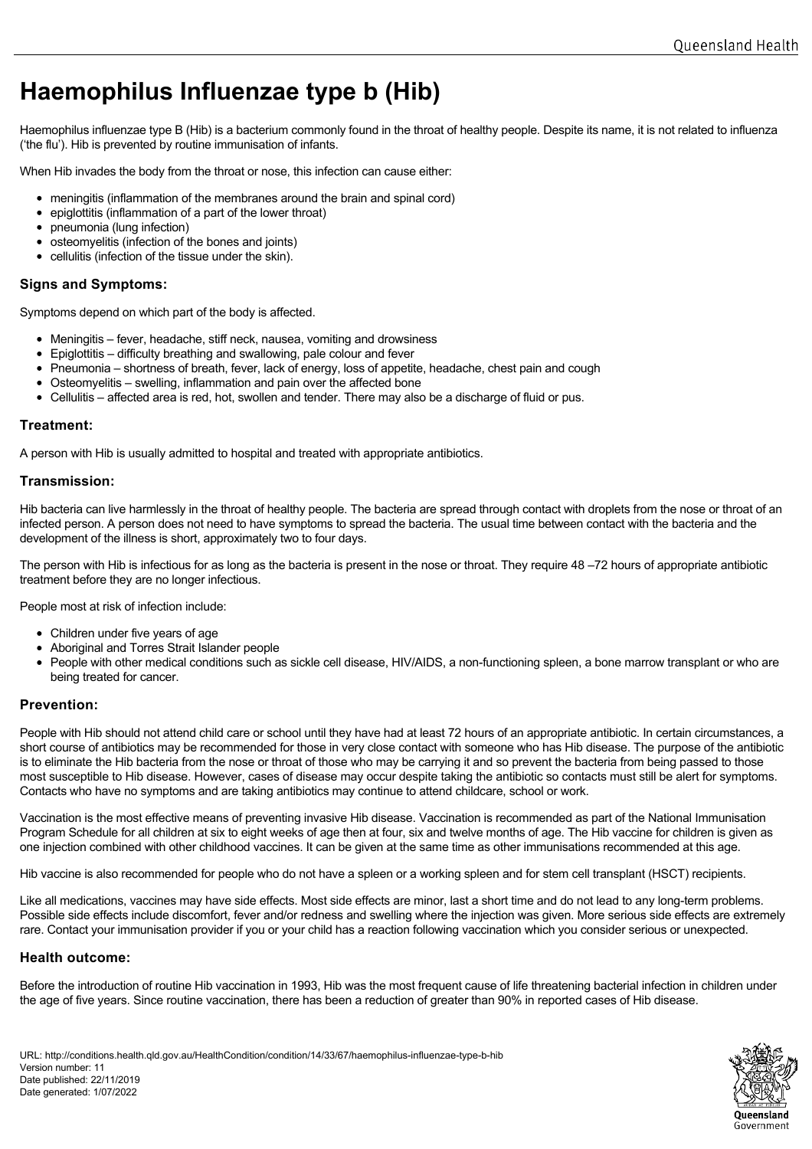# **Haemophilus Influenzae type b (Hib)**

Haemophilus influenzae type B (Hib) is a bacterium commonly found in the throat of healthy people. Despite its name, it is not related to influenza ('the flu'). Hib is prevented by routine immunisation of infants.

When Hib invades the body from the throat or nose, this infection can cause either:

- meningitis (inflammation of the membranes around the brain and spinal cord)
- epiglottitis (inflammation of a part of the lower throat)
- pneumonia (lung infection)
- osteomvelitis (infection of the bones and joints)
- cellulitis (infection of the tissue under the skin).

# **Signs and Symptoms:**

Symptoms depend on which part of the body is affected.

- Meningitis fever, headache, stiff neck, nausea, vomiting and drowsiness
- Epiglottitis difficulty breathing and swallowing, pale colour and fever
- Pneumonia shortness of breath, fever, lack of energy, loss of appetite, headache, chest pain and cough
- Osteomvelitis swelling, inflammation and pain over the affected bone
- Cellulitis affected area is red, hot, swollen and tender. There may also be a discharge of fluid or pus.

# **Treatment:**

A person with Hib is usually admitted to hospital and treated with appropriate antibiotics.

# **Transmission:**

Hib bacteria can live harmlessly in the throat of healthy people. The bacteria are spread through contact with droplets from the nose or throat of an infected person. A person does not need to have symptoms to spread the bacteria. The usual time between contact with the bacteria and the development of the illness is short, approximately two to four days.

The person with Hib is infectious for as long as the bacteria is present in the nose or throat. They require 48 –72 hours of appropriate antibiotic treatment before they are no longer infectious.

People most at risk of infection include:

- Children under five years of age
- Aboriginal and Torres Strait Islander people
- People with other medical conditions such as sickle cell disease, HIV/AIDS, a non-functioning spleen, a bone marrow transplant or who are being treated for cancer.

# **Prevention:**

People with Hib should not attend child care or school until they have had at least 72 hours of an appropriate antibiotic. In certain circumstances, a short course of antibiotics may be recommended for those in very close contact with someone who has Hib disease. The purpose of the antibiotic is to eliminate the Hib bacteria from the nose or throat of those who may be carrying it and so prevent the bacteria from being passed to those most susceptible to Hib disease. However, cases of disease may occur despite taking the antibiotic so contacts must still be alert for symptoms. Contacts who have no symptoms and are taking antibiotics may continue to attend childcare, school or work.

Vaccination is the most effective means of preventing invasive Hib disease. Vaccination is recommended as part of the National Immunisation Program Schedule for all children at six to eight weeks of age then at four, six and twelve months of age. The Hib vaccine for children is given as one injection combined with other childhood vaccines. It can be given at the same time as other immunisations recommended at this age.

Hib vaccine is also recommended for people who do not have a spleen or a working spleen and for stem cell transplant (HSCT) recipients.

Like all medications, vaccines may have side effects. Most side effects are minor, last a short time and do not lead to any long-term problems. Possible side effects include discomfort, fever and/or redness and swelling where the injection was given. More serious side effects are extremely rare. Contact your immunisation provider if you or your child has a reaction following vaccination which you consider serious or unexpected.

#### **Health outcome:**

Before the introduction of routine Hib vaccination in 1993, Hib was the most frequent cause of life threatening bacterial infection in children under the age of five years. Since routine vaccination, there has been a reduction of greater than 90% in reported cases of Hib disease.